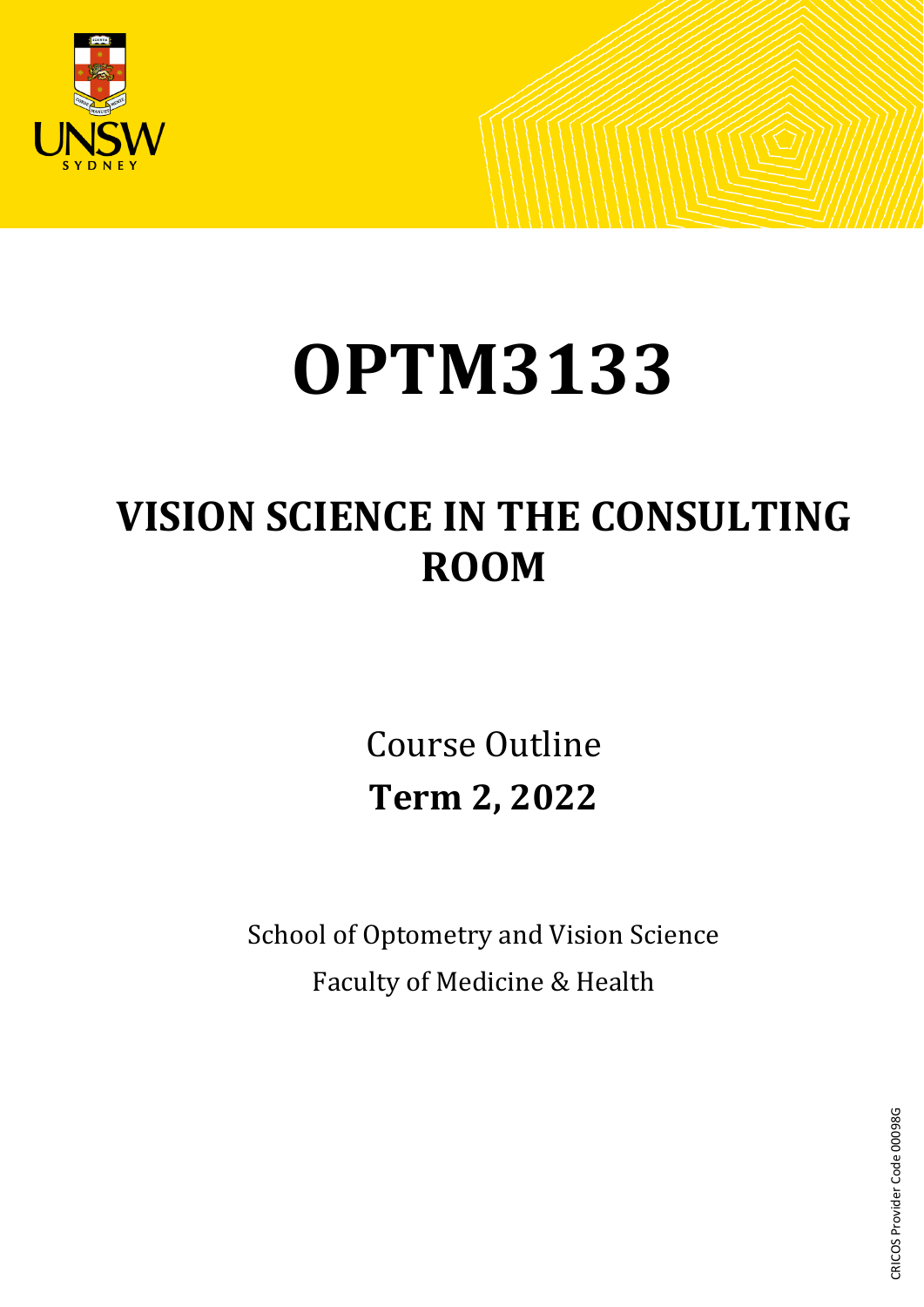

# **OPTM3133**

# **VISION SCIENCE IN THE CONSULTING ROOM**

Course Outline **Term 2, 2022**

School of Optometry and Vision Science Faculty of Medicine & Health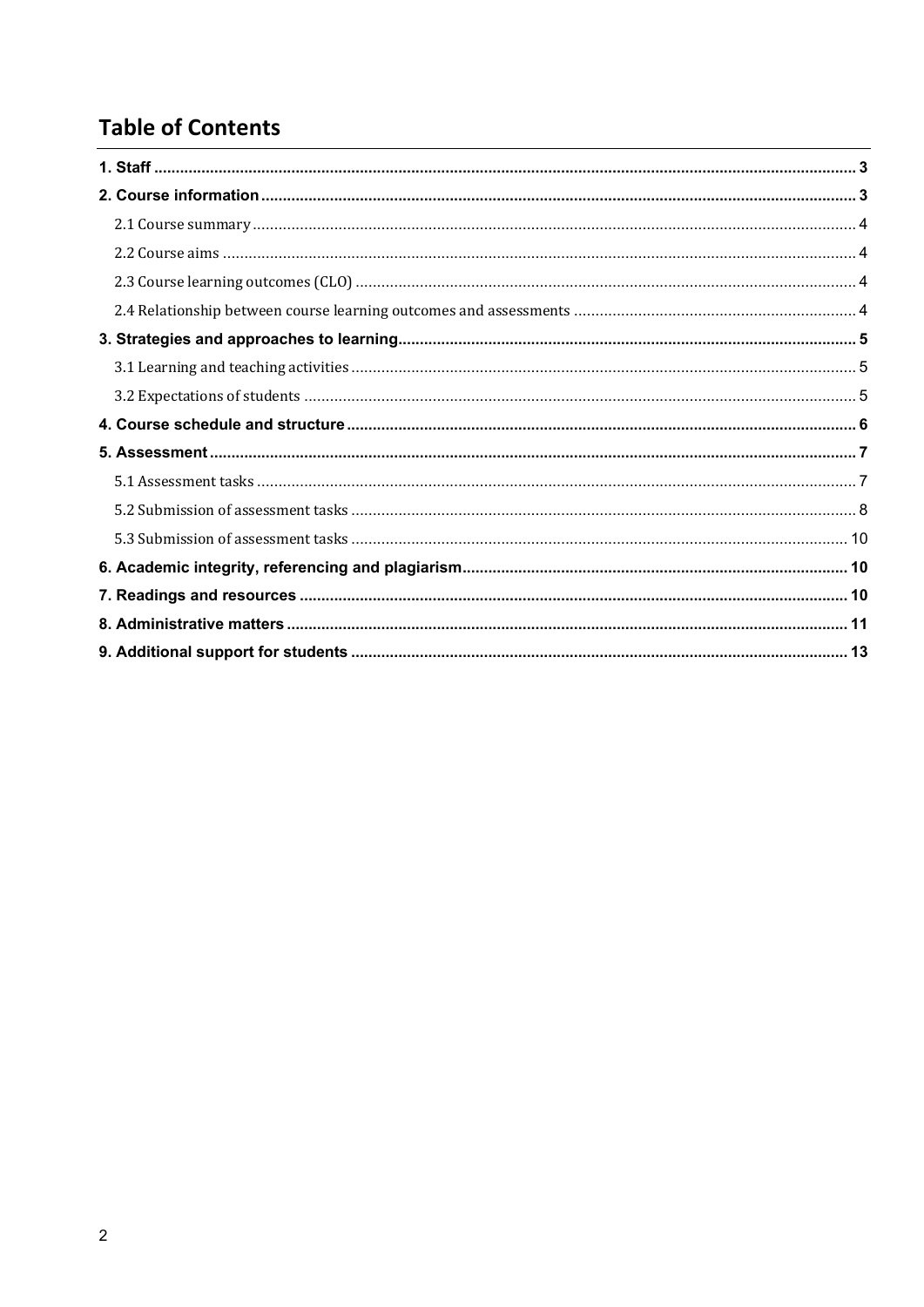## **Table of Contents**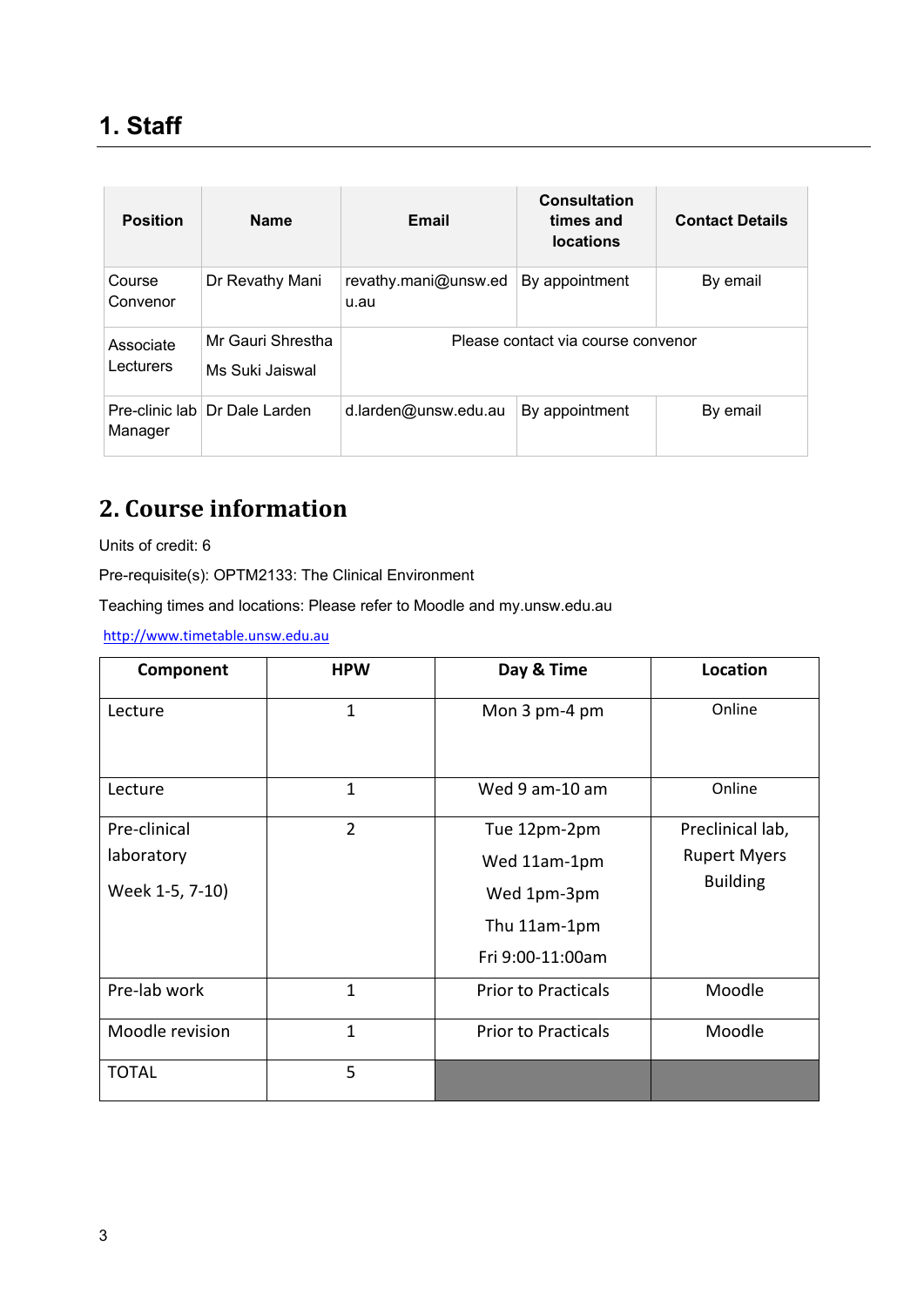<span id="page-2-0"></span>

| <b>Position</b>        | <b>Name</b>                          | Email                        |                                    | <b>Contact Details</b> |
|------------------------|--------------------------------------|------------------------------|------------------------------------|------------------------|
| Course<br>Convenor     | Dr Revathy Mani                      | revathy.mani@unsw.ed<br>u.au | By appointment                     | By email               |
| Associate<br>Lecturers | Mr Gauri Shrestha<br>Ms Suki Jaiswal |                              | Please contact via course convenor |                        |
| Manager                | Pre-clinic lab Dr Dale Larden        | d.larden@unsw.edu.au         | By appointment                     | By email               |

# <span id="page-2-1"></span>**2. Course information**

Units of credit: 6

Pre-requisite(s): OPTM2133: The Clinical Environment

Teaching times and locations: Please refer to Moodle and my.unsw.edu.au

[http://www.timetable.unsw.edu.au](http://www.timetable.unsw.edu.au/)

| Component       | <b>HPW</b>     | Day & Time                 | Location            |
|-----------------|----------------|----------------------------|---------------------|
| Lecture         | 1              | Mon 3 pm-4 pm              | Online              |
| Lecture         | $\mathbf{1}$   | Wed 9 am-10 am             | Online              |
| Pre-clinical    | $\overline{2}$ | Tue 12pm-2pm               | Preclinical lab,    |
| laboratory      |                | Wed 11am-1pm               | <b>Rupert Myers</b> |
| Week 1-5, 7-10) |                | Wed 1pm-3pm                | <b>Building</b>     |
|                 |                | Thu 11am-1pm               |                     |
|                 |                | Fri 9:00-11:00am           |                     |
| Pre-lab work    | 1              | <b>Prior to Practicals</b> | Moodle              |
| Moodle revision | 1              | <b>Prior to Practicals</b> | Moodle              |
| <b>TOTAL</b>    | 5              |                            |                     |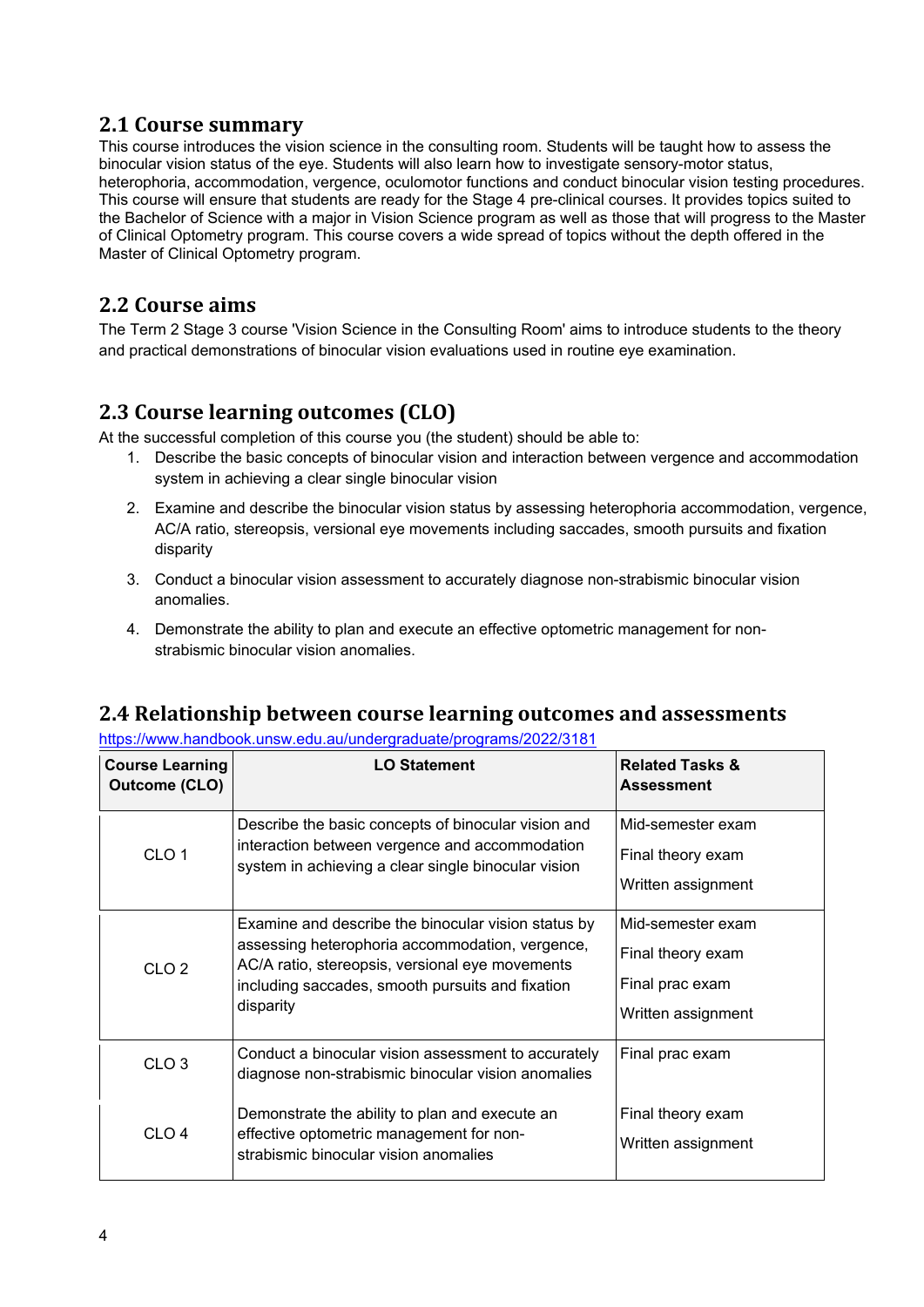#### <span id="page-3-0"></span>**2.1 Course summary**

This course introduces the vision science in the consulting room. Students will be taught how to assess the binocular vision status of the eye. Students will also learn how to investigate sensory-motor status, heterophoria, accommodation, vergence, oculomotor functions and conduct binocular vision testing procedures. This course will ensure that students are ready for the Stage 4 pre-clinical courses. It provides topics suited to the Bachelor of Science with a major in Vision Science program as well as those that will progress to the Master of Clinical Optometry program. This course covers a wide spread of topics without the depth offered in the Master of Clinical Optometry program.

#### <span id="page-3-1"></span>**2.2 Course aims**

The Term 2 Stage 3 course 'Vision Science in the Consulting Room' aims to introduce students to the theory and practical demonstrations of binocular vision evaluations used in routine eye examination.

#### <span id="page-3-2"></span>**2.3 Course learning outcomes (CLO)**

At the successful completion of this course you (the student) should be able to:

- 1. Describe the basic concepts of binocular vision and interaction between vergence and accommodation system in achieving a clear single binocular vision
- 2. Examine and describe the binocular vision status by assessing heterophoria accommodation, vergence, AC/A ratio, stereopsis, versional eye movements including saccades, smooth pursuits and fixation disparity
- 3. Conduct a binocular vision assessment to accurately diagnose non-strabismic binocular vision anomalies.
- 4. Demonstrate the ability to plan and execute an effective optometric management for nonstrabismic binocular vision anomalies.

#### <span id="page-3-3"></span>**2.4 Relationship between course learning outcomes and assessments**

<https://www.handbook.unsw.edu.au/undergraduate/programs/2022/3181>

| <b>Course Learning</b><br><b>Outcome (CLO)</b> | <b>LO Statement</b>                                                                                                                                                                                                        | <b>Related Tasks &amp;</b><br><b>Assessment</b>                                 |
|------------------------------------------------|----------------------------------------------------------------------------------------------------------------------------------------------------------------------------------------------------------------------------|---------------------------------------------------------------------------------|
| CLO <sub>1</sub>                               | Describe the basic concepts of binocular vision and<br>interaction between vergence and accommodation<br>system in achieving a clear single binocular vision                                                               | Mid-semester exam<br>Final theory exam<br>Written assignment                    |
| CLO <sub>2</sub>                               | Examine and describe the binocular vision status by<br>assessing heterophoria accommodation, vergence,<br>AC/A ratio, stereopsis, versional eye movements<br>including saccades, smooth pursuits and fixation<br>disparity | Mid-semester exam<br>Final theory exam<br>Final prac exam<br>Written assignment |
| CLO <sub>3</sub>                               | Conduct a binocular vision assessment to accurately<br>diagnose non-strabismic binocular vision anomalies                                                                                                                  | Final prac exam                                                                 |
| CLO <sub>4</sub>                               | Demonstrate the ability to plan and execute an<br>effective optometric management for non-<br>strabismic binocular vision anomalies                                                                                        | Final theory exam<br>Written assignment                                         |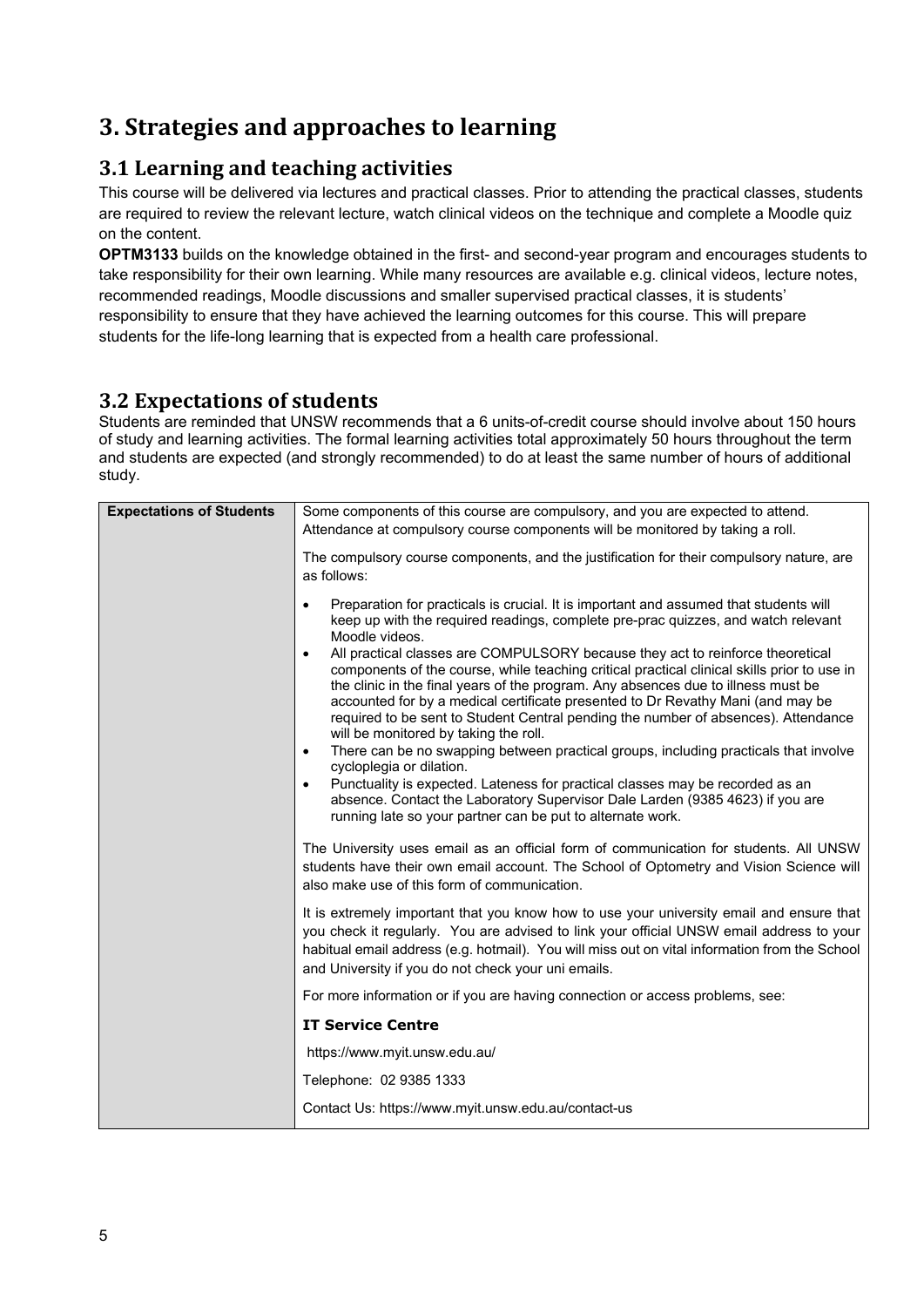# <span id="page-4-0"></span>**3. Strategies and approaches to learning**

#### <span id="page-4-1"></span>**3.1 Learning and teaching activities**

This course will be delivered via lectures and practical classes. Prior to attending the practical classes, students are required to review the relevant lecture, watch clinical videos on the technique and complete a Moodle quiz on the content.

**OPTM3133** builds on the knowledge obtained in the first- and second-year program and encourages students to take responsibility for their own learning. While many resources are available e.g. clinical videos, lecture notes, recommended readings, Moodle discussions and smaller supervised practical classes, it is students' responsibility to ensure that they have achieved the learning outcomes for this course. This will prepare students for the life-long learning that is expected from a health care professional.

#### <span id="page-4-2"></span>**3.2 Expectations of students**

Students are reminded that UNSW recommends that a 6 units-of-credit course should involve about 150 hours of study and learning activities. The formal learning activities total approximately 50 hours throughout the term and students are expected (and strongly recommended) to do at least the same number of hours of additional study.

| <b>Expectations of Students</b> | Some components of this course are compulsory, and you are expected to attend.                                                                                                                                                                                                                                                                                                                                                                                                                                                                                                  |
|---------------------------------|---------------------------------------------------------------------------------------------------------------------------------------------------------------------------------------------------------------------------------------------------------------------------------------------------------------------------------------------------------------------------------------------------------------------------------------------------------------------------------------------------------------------------------------------------------------------------------|
|                                 | Attendance at compulsory course components will be monitored by taking a roll.                                                                                                                                                                                                                                                                                                                                                                                                                                                                                                  |
|                                 | The compulsory course components, and the justification for their compulsory nature, are<br>as follows:                                                                                                                                                                                                                                                                                                                                                                                                                                                                         |
|                                 | Preparation for practicals is crucial. It is important and assumed that students will<br>$\bullet$<br>keep up with the required readings, complete pre-prac quizzes, and watch relevant<br>Moodle videos.<br>All practical classes are COMPULSORY because they act to reinforce theoretical<br>$\bullet$<br>components of the course, while teaching critical practical clinical skills prior to use in<br>the clinic in the final years of the program. Any absences due to illness must be<br>accounted for by a medical certificate presented to Dr Revathy Mani (and may be |
|                                 | required to be sent to Student Central pending the number of absences). Attendance<br>will be monitored by taking the roll.                                                                                                                                                                                                                                                                                                                                                                                                                                                     |
|                                 | There can be no swapping between practical groups, including practicals that involve<br>$\bullet$<br>cycloplegia or dilation.                                                                                                                                                                                                                                                                                                                                                                                                                                                   |
|                                 | Punctuality is expected. Lateness for practical classes may be recorded as an<br>absence. Contact the Laboratory Supervisor Dale Larden (9385 4623) if you are<br>running late so your partner can be put to alternate work.                                                                                                                                                                                                                                                                                                                                                    |
|                                 | The University uses email as an official form of communication for students. All UNSW<br>students have their own email account. The School of Optometry and Vision Science will<br>also make use of this form of communication.                                                                                                                                                                                                                                                                                                                                                 |
|                                 | It is extremely important that you know how to use your university email and ensure that<br>you check it regularly. You are advised to link your official UNSW email address to your<br>habitual email address (e.g. hotmail). You will miss out on vital information from the School<br>and University if you do not check your uni emails.                                                                                                                                                                                                                                    |
|                                 | For more information or if you are having connection or access problems, see:                                                                                                                                                                                                                                                                                                                                                                                                                                                                                                   |
|                                 | <b>IT Service Centre</b>                                                                                                                                                                                                                                                                                                                                                                                                                                                                                                                                                        |
|                                 | https://www.myit.unsw.edu.au/                                                                                                                                                                                                                                                                                                                                                                                                                                                                                                                                                   |
|                                 | Telephone: 02 9385 1333                                                                                                                                                                                                                                                                                                                                                                                                                                                                                                                                                         |
|                                 | Contact Us: https://www.myit.unsw.edu.au/contact-us                                                                                                                                                                                                                                                                                                                                                                                                                                                                                                                             |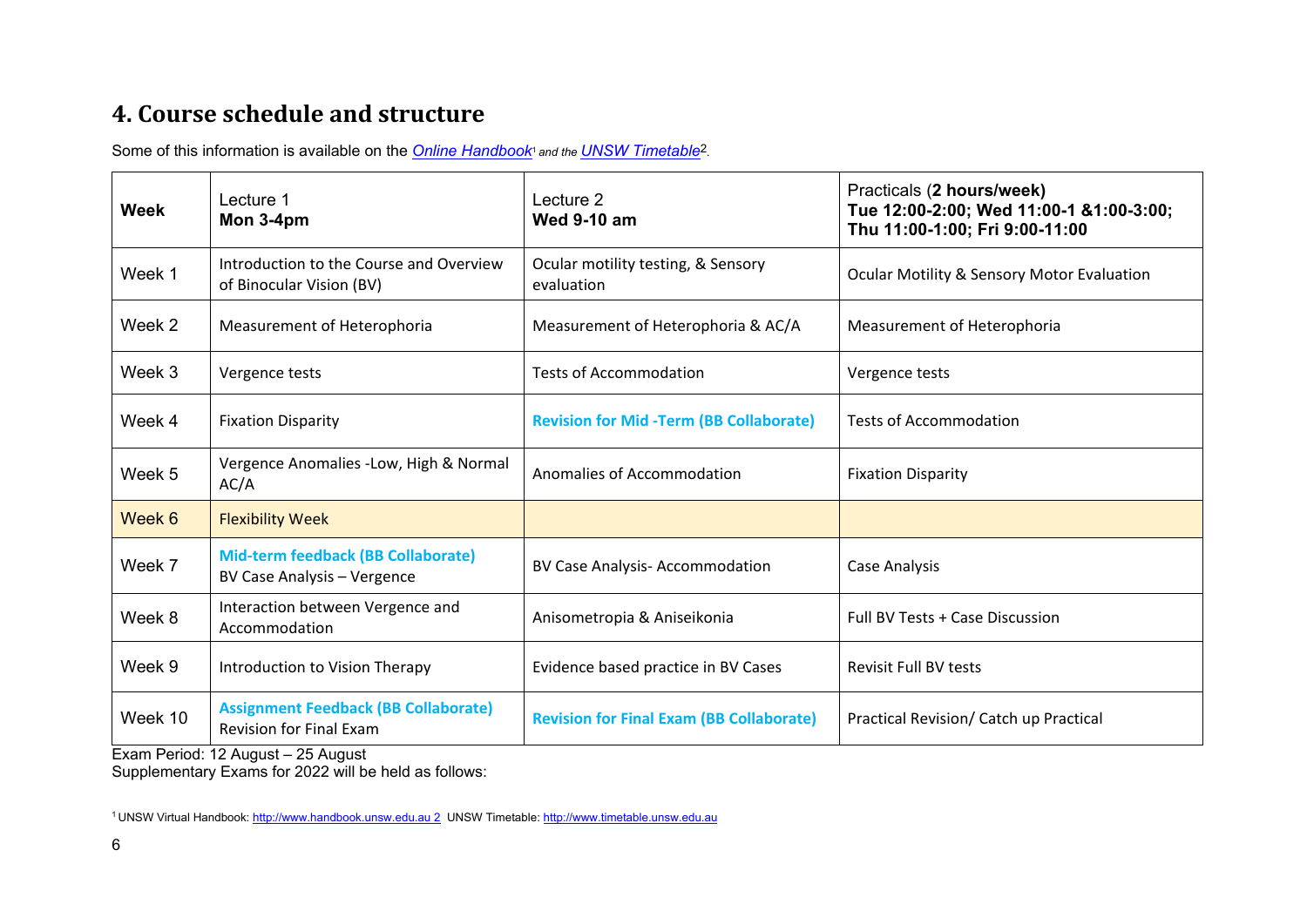# **4. Course schedule and structure**

Some of this information is available on the **Online Handbook**<sup>1</sup> and the **UNSW Timetable**<sup>2</sup>.

| Week    | Lecture 1<br>Mon 3-4pm                                                        | Lecture 2<br><b>Wed 9-10 am</b>                  | Practicals (2 hours/week)<br>Tue 12:00-2:00; Wed 11:00-1 &1:00-3:00;<br>Thu 11:00-1:00; Fri 9:00-11:00 |  |
|---------|-------------------------------------------------------------------------------|--------------------------------------------------|--------------------------------------------------------------------------------------------------------|--|
| Week 1  | Introduction to the Course and Overview<br>of Binocular Vision (BV)           | Ocular motility testing, & Sensory<br>evaluation | <b>Ocular Motility &amp; Sensory Motor Evaluation</b>                                                  |  |
| Week 2  | Measurement of Heterophoria                                                   | Measurement of Heterophoria & AC/A               | Measurement of Heterophoria                                                                            |  |
| Week 3  | Vergence tests                                                                | <b>Tests of Accommodation</b>                    | Vergence tests                                                                                         |  |
| Week 4  | <b>Fixation Disparity</b>                                                     | <b>Revision for Mid-Term (BB Collaborate)</b>    | <b>Tests of Accommodation</b>                                                                          |  |
| Week 5  | Vergence Anomalies - Low, High & Normal<br>AC/A                               | Anomalies of Accommodation                       | <b>Fixation Disparity</b>                                                                              |  |
| Week 6  | <b>Flexibility Week</b>                                                       |                                                  |                                                                                                        |  |
| Week 7  | Mid-term feedback (BB Collaborate)<br>BV Case Analysis - Vergence             | BV Case Analysis-Accommodation                   | <b>Case Analysis</b>                                                                                   |  |
| Week 8  | Interaction between Vergence and<br>Accommodation                             | Anisometropia & Aniseikonia                      | Full BV Tests + Case Discussion                                                                        |  |
| Week 9  | Introduction to Vision Therapy                                                | Evidence based practice in BV Cases              | <b>Revisit Full BV tests</b>                                                                           |  |
| Week 10 | <b>Assignment Feedback (BB Collaborate)</b><br><b>Revision for Final Exam</b> | <b>Revision for Final Exam (BB Collaborate)</b>  | Practical Revision/ Catch up Practical                                                                 |  |

<span id="page-5-0"></span>Exam Period: 12 August – 25 August

Supplementary Exams for 2022 will be held as follows:

<sup>1</sup> UNSW Virtual Handbook: http://www.handbook.unsw.edu.au 2 UNSW Timetable[: http://www.timetable.unsw.edu.au](http://www.timetable.unsw.edu.au/)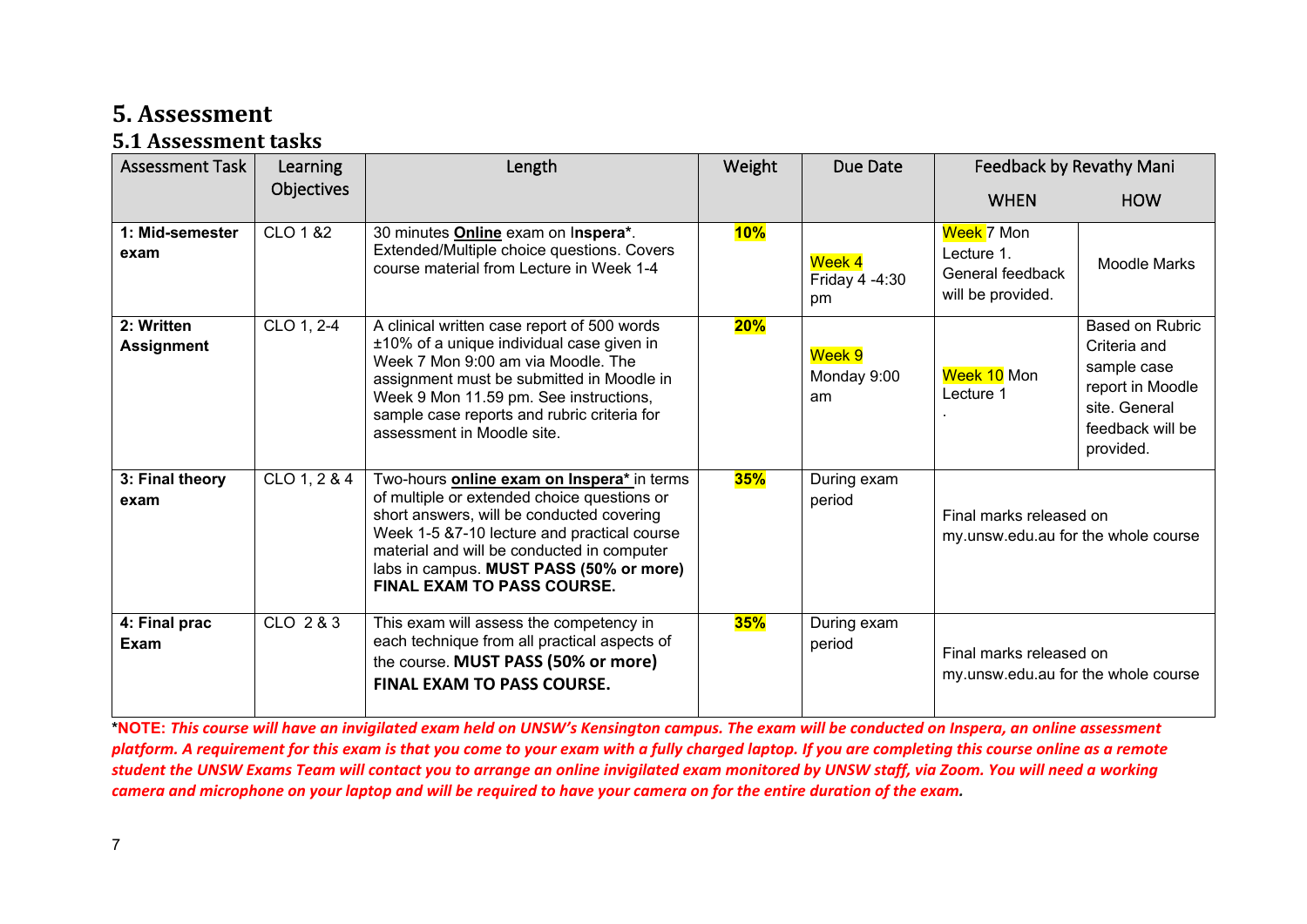## **5. Assessment**

#### **5.1 Assessment tasks**

| <b>Assessment Task</b>          | Learning     | Length                                                                                                                                                                                                                                                                                                              | Weight | Due Date                       | Feedback by Revathy Mani                                                 |                                                                                                                             |
|---------------------------------|--------------|---------------------------------------------------------------------------------------------------------------------------------------------------------------------------------------------------------------------------------------------------------------------------------------------------------------------|--------|--------------------------------|--------------------------------------------------------------------------|-----------------------------------------------------------------------------------------------------------------------------|
|                                 | Objectives   |                                                                                                                                                                                                                                                                                                                     |        |                                | <b>WHEN</b>                                                              | <b>HOW</b>                                                                                                                  |
| 1: Mid-semester<br>exam         | CLO 1 & 2    | 30 minutes <b>Online</b> exam on Inspera*.<br>Extended/Multiple choice questions. Covers<br>course material from Lecture in Week 1-4                                                                                                                                                                                | 10%    | Week 4<br>Friday 4 -4:30<br>pm | <b>Week 7 Mon</b><br>Lecture 1.<br>General feedback<br>will be provided. | <b>Moodle Marks</b>                                                                                                         |
| 2: Written<br><b>Assignment</b> | CLO 1, 2-4   | A clinical written case report of 500 words<br>±10% of a unique individual case given in<br>Week 7 Mon 9:00 am via Moodle. The<br>assignment must be submitted in Moodle in<br>Week 9 Mon 11.59 pm. See instructions,<br>sample case reports and rubric criteria for<br>assessment in Moodle site.                  | $20\%$ | Week 9<br>Monday 9:00<br>am    | Week 10 Mon<br>Lecture 1                                                 | <b>Based on Rubric</b><br>Criteria and<br>sample case<br>report in Moodle<br>site. General<br>feedback will be<br>provided. |
| 3: Final theory<br>exam         | CLO 1, 2 & 4 | Two-hours online exam on Inspera* in terms<br>of multiple or extended choice questions or<br>short answers, will be conducted covering<br>Week 1-5 &7-10 lecture and practical course<br>material and will be conducted in computer<br>labs in campus. MUST PASS (50% or more)<br><b>FINAL EXAM TO PASS COURSE.</b> | 35%    | During exam<br>period          | Final marks released on<br>my.unsw.edu.au for the whole course           |                                                                                                                             |
| 4: Final prac<br><b>Exam</b>    | CLO 2 & 3    | This exam will assess the competency in<br>each technique from all practical aspects of<br>the course. MUST PASS (50% or more)<br><b>FINAL EXAM TO PASS COURSE.</b>                                                                                                                                                 | 35%    | During exam<br>period          | Final marks released on<br>my.unsw.edu.au for the whole course           |                                                                                                                             |

<span id="page-6-1"></span><span id="page-6-0"></span>**\*NOTE:** *This course will have an invigilated exam held on UNSW's Kensington campus. The exam will be conducted on Inspera, an online assessment platform. A requirement for this exam is that you come to your exam with a fully charged laptop. If you are completing this course online as a remote student the UNSW Exams Team will contact you to arrange an online invigilated exam monitored by UNSW staff, via Zoom. You will need a working camera and microphone on your laptop and will be required to have your camera on for the entire duration of the exam.*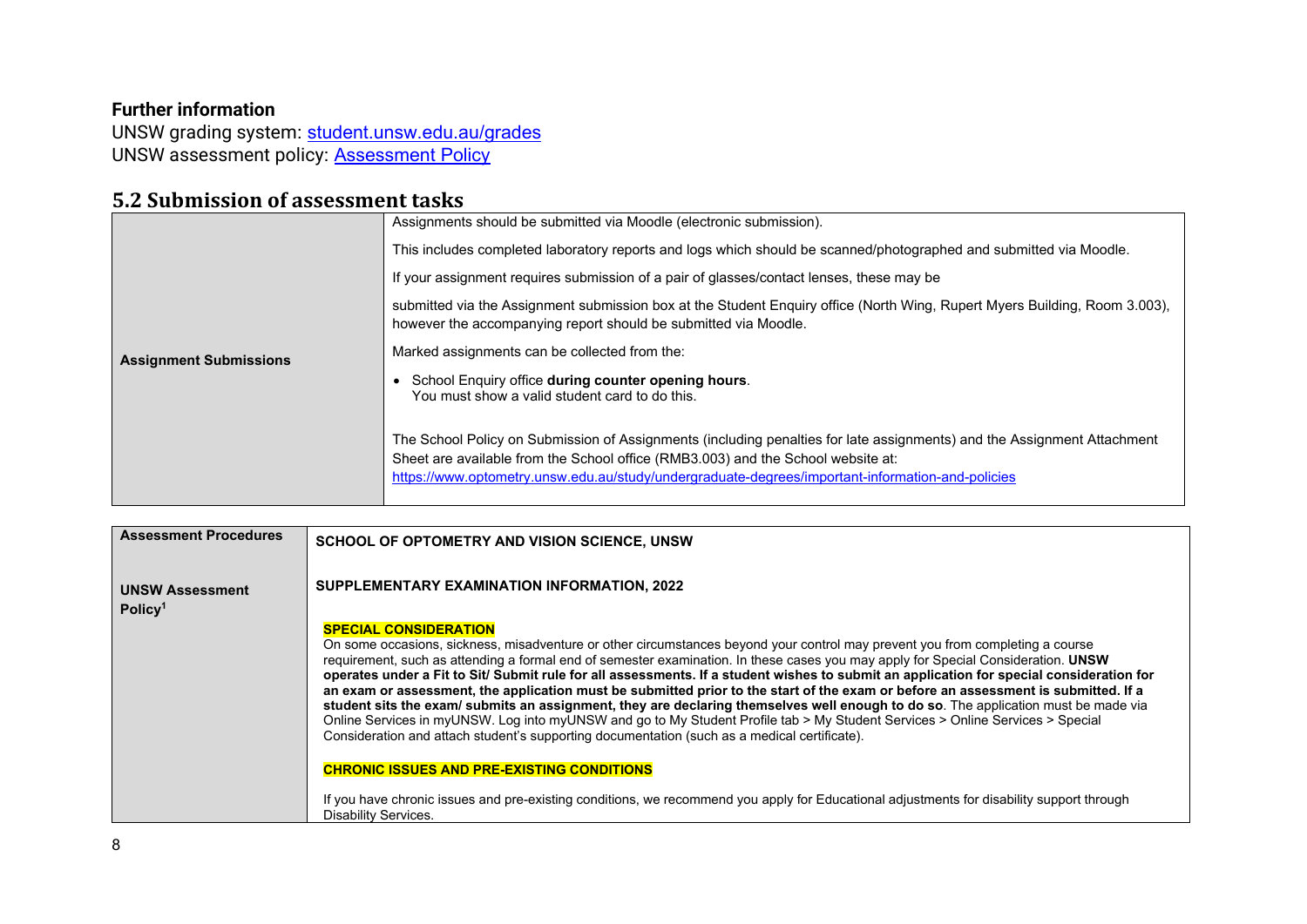#### **Further information**

UNSW grading system: <u>student.unsw.edu.au/grades</u> UNSW assessment policy: <u>Assessment Policy</u>

#### **5.2 Submission of assessment tasks**

|                               | Assignments should be submitted via Moodle (electronic submission).                                                                                                                                                                                                                                             |
|-------------------------------|-----------------------------------------------------------------------------------------------------------------------------------------------------------------------------------------------------------------------------------------------------------------------------------------------------------------|
|                               | This includes completed laboratory reports and logs which should be scanned/photographed and submitted via Moodle.                                                                                                                                                                                              |
|                               | If your assignment requires submission of a pair of glasses/contact lenses, these may be                                                                                                                                                                                                                        |
|                               | submitted via the Assignment submission box at the Student Enquiry office (North Wing, Rupert Myers Building, Room 3.003),<br>however the accompanying report should be submitted via Moodle.                                                                                                                   |
| <b>Assignment Submissions</b> | Marked assignments can be collected from the:                                                                                                                                                                                                                                                                   |
|                               | School Enquiry office during counter opening hours.<br>You must show a valid student card to do this.                                                                                                                                                                                                           |
|                               | The School Policy on Submission of Assignments (including penalties for late assignments) and the Assignment Attachment<br>Sheet are available from the School office (RMB3.003) and the School website at:<br>https://www.optometry.unsw.edu.au/study/undergraduate-degrees/important-information-and-policies |

<span id="page-7-0"></span>

| <b>Assessment Procedures</b>                  | SCHOOL OF OPTOMETRY AND VISION SCIENCE, UNSW                                                                                                                                                                                                                                                                                                                                                                                                                                                                                                                                                                                                                                                                                                                                                                                                                                                                                                                |
|-----------------------------------------------|-------------------------------------------------------------------------------------------------------------------------------------------------------------------------------------------------------------------------------------------------------------------------------------------------------------------------------------------------------------------------------------------------------------------------------------------------------------------------------------------------------------------------------------------------------------------------------------------------------------------------------------------------------------------------------------------------------------------------------------------------------------------------------------------------------------------------------------------------------------------------------------------------------------------------------------------------------------|
| <b>UNSW Assessment</b><br>Policy <sup>1</sup> | SUPPLEMENTARY EXAMINATION INFORMATION, 2022                                                                                                                                                                                                                                                                                                                                                                                                                                                                                                                                                                                                                                                                                                                                                                                                                                                                                                                 |
|                                               | <b>SPECIAL CONSIDERATION</b><br>On some occasions, sickness, misadventure or other circumstances beyond your control may prevent you from completing a course<br>requirement, such as attending a formal end of semester examination. In these cases you may apply for Special Consideration. UNSW<br>operates under a Fit to Sit/ Submit rule for all assessments. If a student wishes to submit an application for special consideration for<br>an exam or assessment, the application must be submitted prior to the start of the exam or before an assessment is submitted. If a<br>student sits the exam/ submits an assignment, they are declaring themselves well enough to do so. The application must be made via<br>Online Services in myUNSW. Log into myUNSW and go to My Student Profile tab > My Student Services > Online Services > Special<br>Consideration and attach student's supporting documentation (such as a medical certificate). |
|                                               | <b>CHRONIC ISSUES AND PRE-EXISTING CONDITIONS</b>                                                                                                                                                                                                                                                                                                                                                                                                                                                                                                                                                                                                                                                                                                                                                                                                                                                                                                           |
|                                               | If you have chronic issues and pre-existing conditions, we recommend you apply for Educational adjustments for disability support through<br><b>Disability Services.</b>                                                                                                                                                                                                                                                                                                                                                                                                                                                                                                                                                                                                                                                                                                                                                                                    |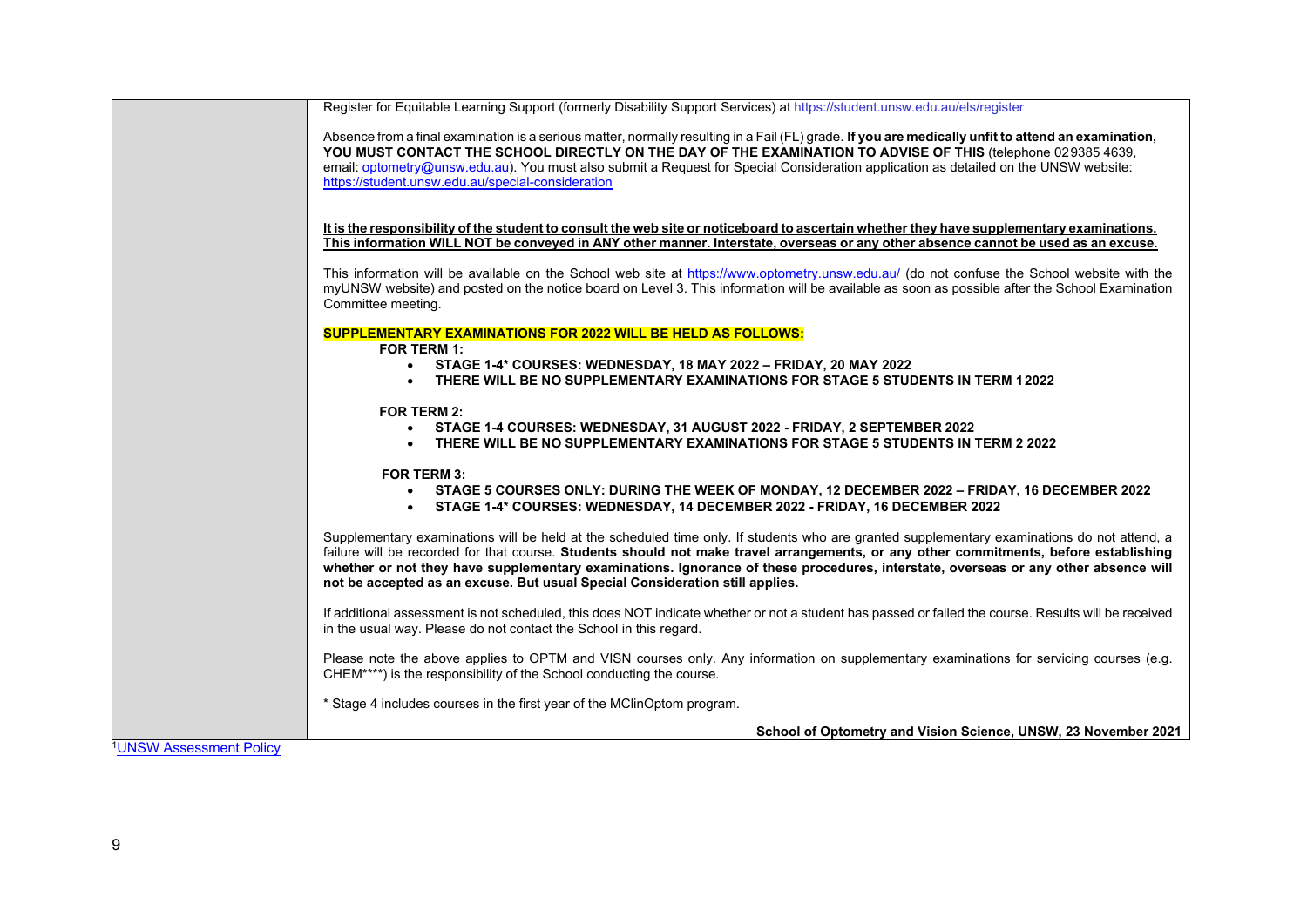|                                     | Register for Equitable Learning Support (formerly Disability Support Services) at https://student.unsw.edu.au/els/register                                                                                                                                                                                                                                                                                                                                                                                 |
|-------------------------------------|------------------------------------------------------------------------------------------------------------------------------------------------------------------------------------------------------------------------------------------------------------------------------------------------------------------------------------------------------------------------------------------------------------------------------------------------------------------------------------------------------------|
|                                     | Absence from a final examination is a serious matter, normally resulting in a Fail (FL) grade. If you are medically unfit to attend an examination,<br>YOU MUST CONTACT THE SCHOOL DIRECTLY ON THE DAY OF THE EXAMINATION TO ADVISE OF THIS (telephone 029385 4639,<br>email: optometry@unsw.edu.au). You must also submit a Request for Special Consideration application as detailed on the UNSW website:<br>https://student.unsw.edu.au/special-consideration                                           |
|                                     | It is the responsibility of the student to consult the web site or noticeboard to ascertain whether they have supplementary examinations.<br>This information WILL NOT be conveyed in ANY other manner. Interstate, overseas or any other absence cannot be used as an excuse.                                                                                                                                                                                                                             |
|                                     | This information will be available on the School web site at https://www.optometry.unsw.edu.au/ (do not confuse the School website with the<br>myUNSW website) and posted on the notice board on Level 3. This information will be available as soon as possible after the School Examination<br>Committee meeting.                                                                                                                                                                                        |
|                                     | <b>SUPPLEMENTARY EXAMINATIONS FOR 2022 WILL BE HELD AS FOLLOWS:</b>                                                                                                                                                                                                                                                                                                                                                                                                                                        |
|                                     | <b>FOR TERM 1:</b><br>• STAGE 1-4* COURSES: WEDNESDAY, 18 MAY 2022 - FRIDAY, 20 MAY 2022                                                                                                                                                                                                                                                                                                                                                                                                                   |
|                                     | THERE WILL BE NO SUPPLEMENTARY EXAMINATIONS FOR STAGE 5 STUDENTS IN TERM 12022                                                                                                                                                                                                                                                                                                                                                                                                                             |
|                                     | <b>FOR TERM 2:</b><br>• STAGE 1-4 COURSES: WEDNESDAY, 31 AUGUST 2022 - FRIDAY, 2 SEPTEMBER 2022<br>THERE WILL BE NO SUPPLEMENTARY EXAMINATIONS FOR STAGE 5 STUDENTS IN TERM 2 2022                                                                                                                                                                                                                                                                                                                         |
|                                     | <b>FOR TERM 3:</b>                                                                                                                                                                                                                                                                                                                                                                                                                                                                                         |
|                                     | STAGE 5 COURSES ONLY: DURING THE WEEK OF MONDAY, 12 DECEMBER 2022 – FRIDAY, 16 DECEMBER 2022<br>STAGE 1-4* COURSES: WEDNESDAY, 14 DECEMBER 2022 - FRIDAY, 16 DECEMBER 2022                                                                                                                                                                                                                                                                                                                                 |
|                                     | Supplementary examinations will be held at the scheduled time only. If students who are granted supplementary examinations do not attend, a<br>failure will be recorded for that course. Students should not make travel arrangements, or any other commitments, before establishing<br>whether or not they have supplementary examinations. Ignorance of these procedures, interstate, overseas or any other absence will<br>not be accepted as an excuse. But usual Special Consideration still applies. |
|                                     | If additional assessment is not scheduled, this does NOT indicate whether or not a student has passed or failed the course. Results will be received<br>in the usual way. Please do not contact the School in this regard.                                                                                                                                                                                                                                                                                 |
|                                     | Please note the above applies to OPTM and VISN courses only. Any information on supplementary examinations for servicing courses (e.g.<br>CHEM****) is the responsibility of the School conducting the course.                                                                                                                                                                                                                                                                                             |
|                                     | * Stage 4 includes courses in the first year of the MClinOptom program.                                                                                                                                                                                                                                                                                                                                                                                                                                    |
|                                     | School of Optometry and Vision Science, UNSW, 23 November 2021                                                                                                                                                                                                                                                                                                                                                                                                                                             |
| <sup>1</sup> UNSW Assessment Policy |                                                                                                                                                                                                                                                                                                                                                                                                                                                                                                            |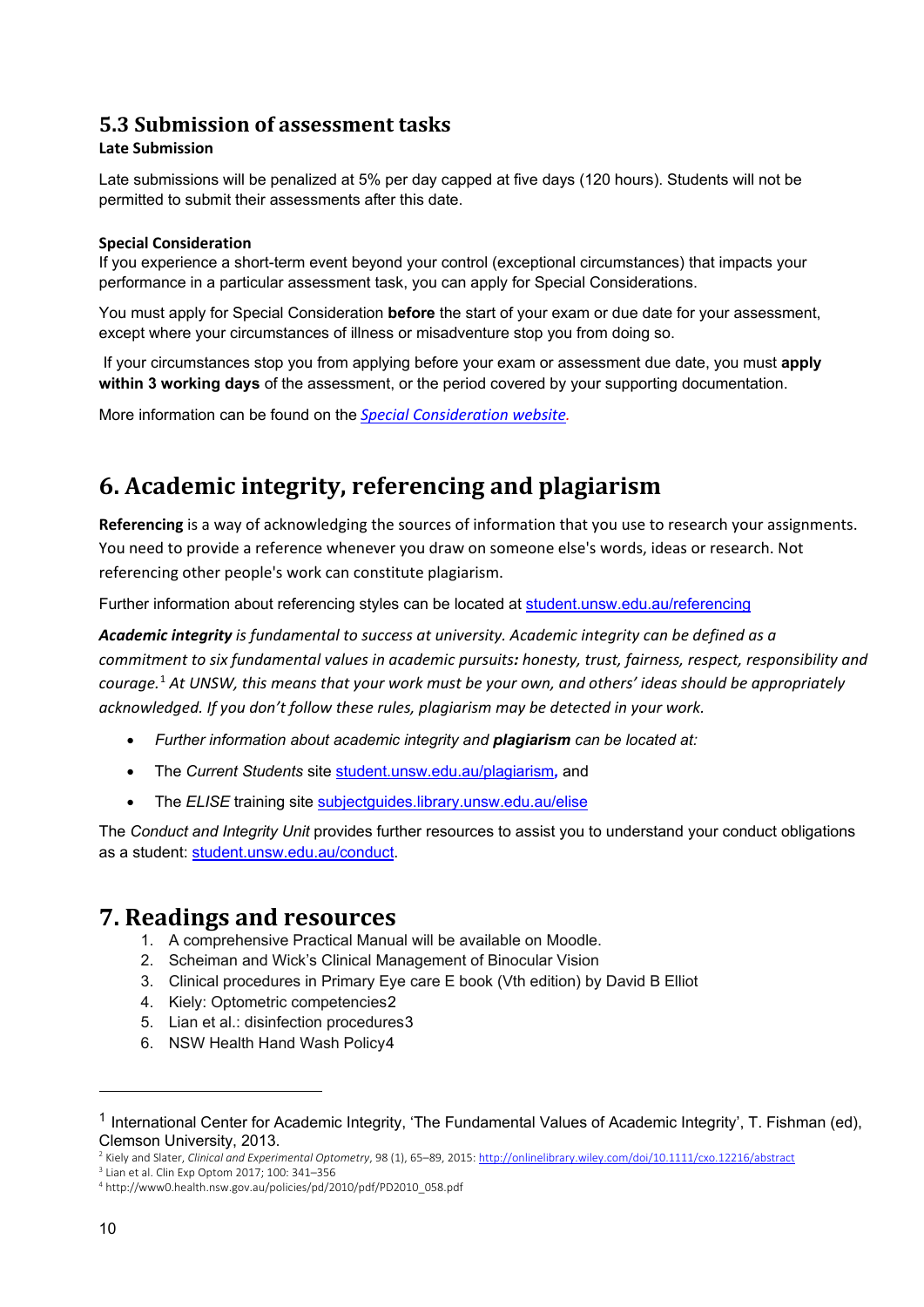#### <span id="page-9-0"></span>**5.3 Submission of assessment tasks**

#### **Late Submission**

Late submissions will be penalized at 5% per day capped at five days (120 hours). Students will not be permitted to submit their assessments after this date.

#### **Special Consideration**

If you experience a short-term event beyond your control (exceptional circumstances) that impacts your performance in a particular assessment task, you can apply for Special Considerations.

You must apply for Special Consideration **before** the start of your exam or due date for your assessment, except where your circumstances of illness or misadventure stop you from doing so.

If your circumstances stop you from applying before your exam or assessment due date, you must **apply within 3 working days** of the assessment, or the period covered by your supporting documentation.

More information can be found on the *[Special Consideration website.](https://www.student.unsw.edu.au/special-consideration)* 

# <span id="page-9-1"></span>**6. Academic integrity, referencing and plagiarism**

**Referencing** is a way of acknowledging the sources of information that you use to research your assignments. You need to provide a reference whenever you draw on someone else's words, ideas or research. Not referencing other people's work can constitute plagiarism.

Further information about referencing styles can be located at [student.unsw.edu.au/referencing](https://student.unsw.edu.au/referencing)

*Academic integrity is fundamental to success at university. Academic integrity can be defined as a commitment to six fundamental values in academic pursuits: honesty, trust, fairness, respect, responsibility and courage.*[1](#page-9-3) *At UNSW, this means that your work must be your own, and others' ideas should be appropriately acknowledged. If you don't follow these rules, plagiarism may be detected in your work.* 

- *Further information about academic integrity and plagiarism can be located at:*
- The *Current Students* site [student.unsw.edu.au/plagiarism](https://student.unsw.edu.au/plagiarism)*,* and
- The **ELISE** training site subjectguides.library.unsw.edu.au/elise

The *Conduct and Integrity Unit* provides further resources to assist you to understand your conduct obligations as a student: [student.unsw.edu.au/conduct.](https://student.unsw.edu.au/conduct)

#### <span id="page-9-2"></span>**7. Readings and resources**

- 1. A comprehensive Practical Manual will be available on Moodle.
- 2. Scheiman and Wick's Clinical Management of Binocular Vision
- 3. Clinical procedures in Primary Eye care E book (Vth edition) by David B Elliot
- 4. Kiely: Optometric competencies[2](#page-9-4)
- 5. Lian et al.: disinfection procedures[3](#page-9-5)
- 6. NSW Health Hand Wash Policy[4](#page-9-6)

<span id="page-9-3"></span><sup>&</sup>lt;sup>1</sup> International Center for Academic Integrity, 'The Fundamental Values of Academic Integrity', T. Fishman (ed), Clemson University, 2013.

<span id="page-9-4"></span><sup>2</sup> Kiely and Slater, *Clinical and Experimental Optometry*, 98 (1), 65–89, 2015[: http://onlinelibrary.wiley.com/doi/10.1111/cxo.12216/abstract](http://onlinelibrary.wiley.com/doi/10.1111/cxo.12216/abstract)

<span id="page-9-5"></span><sup>3</sup> Lian et al. Clin Exp Optom 2017; 100: 341–356

<span id="page-9-6"></span><sup>4</sup> http://www0.health.nsw.gov.au/policies/pd/2010/pdf/PD2010\_058.pdf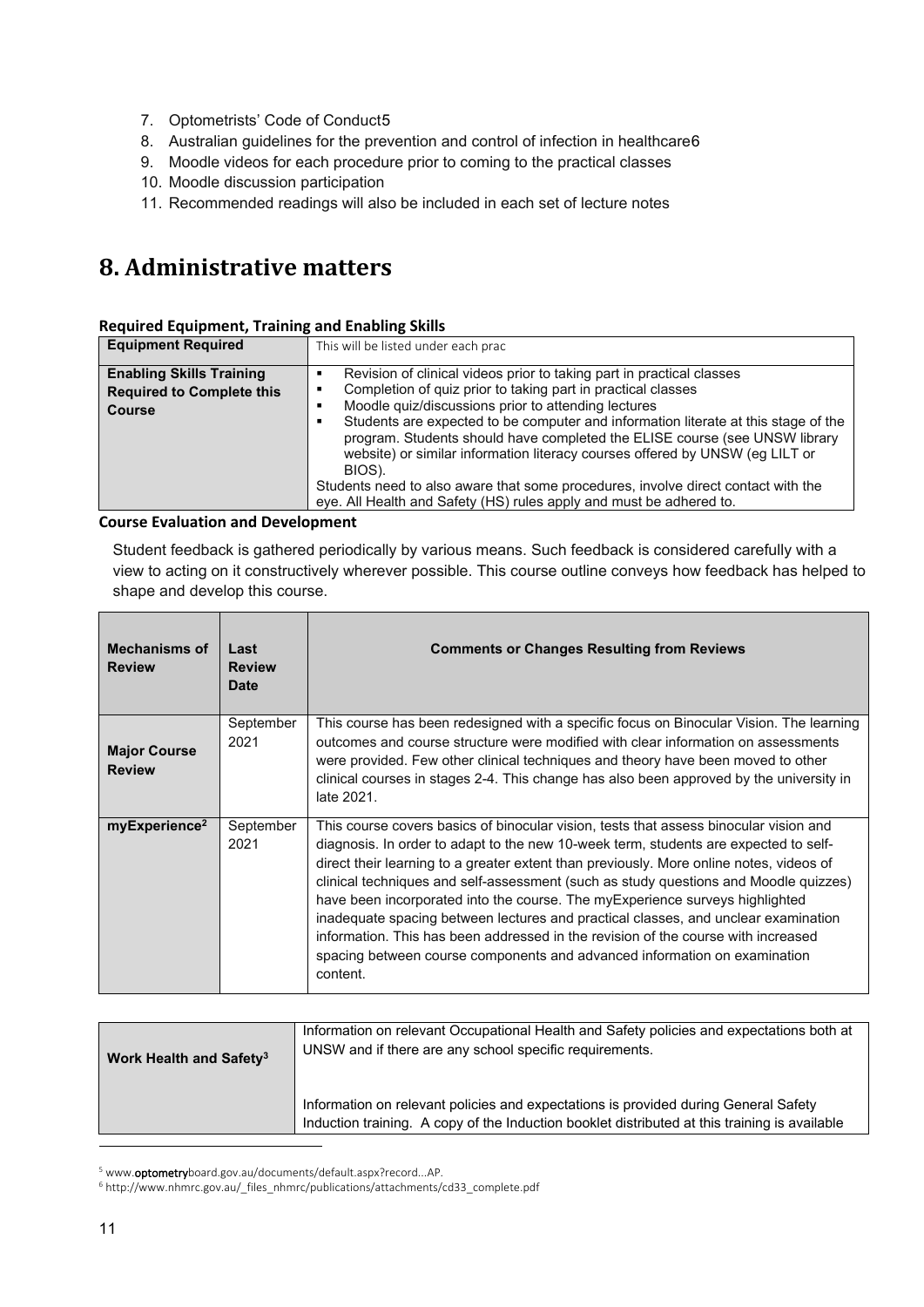- 7. Optometrists' Code of Conduct[5](#page-10-1)
- 8. Australian guidelines for the prevention and control of infection in healthcare[6](#page-10-2)
- 9. Moodle videos for each procedure prior to coming to the practical classes
- 10. Moodle discussion participation
- 11. Recommended readings will also be included in each set of lecture notes

# <span id="page-10-0"></span>**8. Administrative matters**

#### **Required Equipment, Training and Enabling Skills**

| <b>Equipment Required</b>                                                            | This will be listed under each prac                                                                                                                                                                                                                                                                                                                                                                                                                                                                                                                                                                                    |
|--------------------------------------------------------------------------------------|------------------------------------------------------------------------------------------------------------------------------------------------------------------------------------------------------------------------------------------------------------------------------------------------------------------------------------------------------------------------------------------------------------------------------------------------------------------------------------------------------------------------------------------------------------------------------------------------------------------------|
| <b>Enabling Skills Training</b><br><b>Required to Complete this</b><br><b>Course</b> | Revision of clinical videos prior to taking part in practical classes<br>Completion of quiz prior to taking part in practical classes<br>Moodle quiz/discussions prior to attending lectures<br>Students are expected to be computer and information literate at this stage of the<br>program. Students should have completed the ELISE course (see UNSW library<br>website) or similar information literacy courses offered by UNSW (eg LILT or<br>BIOS).<br>Students need to also aware that some procedures, involve direct contact with the<br>eye. All Health and Safety (HS) rules apply and must be adhered to. |

#### **Course Evaluation and Development**

Student feedback is gathered periodically by various means. Such feedback is considered carefully with a view to acting on it constructively wherever possible. This course outline conveys how feedback has helped to shape and develop this course.

| <b>Mechanisms of</b><br><b>Review</b> | Last<br><b>Review</b><br>Date | <b>Comments or Changes Resulting from Reviews</b>                                                                                                                                                                                                                                                                                                                                                                                                                                                                                                                                                                                                                                                                     |
|---------------------------------------|-------------------------------|-----------------------------------------------------------------------------------------------------------------------------------------------------------------------------------------------------------------------------------------------------------------------------------------------------------------------------------------------------------------------------------------------------------------------------------------------------------------------------------------------------------------------------------------------------------------------------------------------------------------------------------------------------------------------------------------------------------------------|
| <b>Major Course</b><br><b>Review</b>  | September<br>2021             | This course has been redesigned with a specific focus on Binocular Vision. The learning<br>outcomes and course structure were modified with clear information on assessments<br>were provided. Few other clinical techniques and theory have been moved to other<br>clinical courses in stages 2-4. This change has also been approved by the university in<br>late 2021.                                                                                                                                                                                                                                                                                                                                             |
| myExperience <sup>2</sup>             | September<br>2021             | This course covers basics of binocular vision, tests that assess binocular vision and<br>diagnosis. In order to adapt to the new 10-week term, students are expected to self-<br>direct their learning to a greater extent than previously. More online notes, videos of<br>clinical techniques and self-assessment (such as study questions and Moodle quizzes)<br>have been incorporated into the course. The my Experience surveys highlighted<br>inadequate spacing between lectures and practical classes, and unclear examination<br>information. This has been addressed in the revision of the course with increased<br>spacing between course components and advanced information on examination<br>content. |

| Work Health and Safety <sup>3</sup> | Information on relevant Occupational Health and Safety policies and expectations both at<br>UNSW and if there are any school specific requirements.                                  |
|-------------------------------------|--------------------------------------------------------------------------------------------------------------------------------------------------------------------------------------|
|                                     | Information on relevant policies and expectations is provided during General Safety<br>Induction training. A copy of the Induction booklet distributed at this training is available |

<sup>&</sup>lt;sup>5</sup> www.optometryboard.gov.au/documents/default.aspx?record...AP.

<span id="page-10-2"></span><span id="page-10-1"></span><sup>6</sup> http://www.nhmrc.gov.au/\_files\_nhmrc/publications/attachments/cd33\_complete.pdf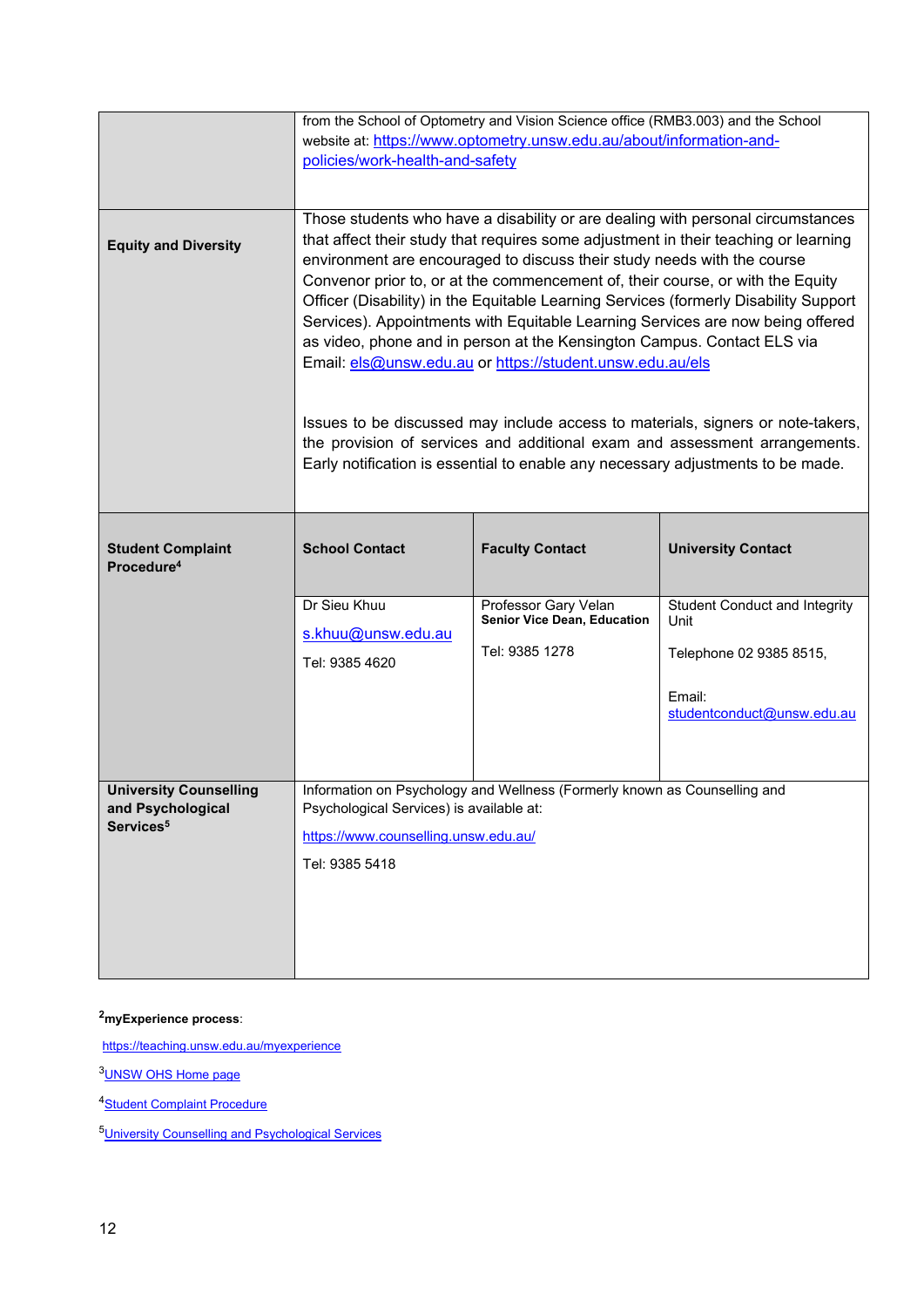|                                                    | from the School of Optometry and Vision Science office (RMB3.003) and the School                                                                                                                                                                                                                                                                                                                                                                                                                                                                                                                                                                                                                                                                                                                                                                                                                          |                                                     |                                              |  |  |
|----------------------------------------------------|-----------------------------------------------------------------------------------------------------------------------------------------------------------------------------------------------------------------------------------------------------------------------------------------------------------------------------------------------------------------------------------------------------------------------------------------------------------------------------------------------------------------------------------------------------------------------------------------------------------------------------------------------------------------------------------------------------------------------------------------------------------------------------------------------------------------------------------------------------------------------------------------------------------|-----------------------------------------------------|----------------------------------------------|--|--|
|                                                    | website at: https://www.optometry.unsw.edu.au/about/information-and-<br>policies/work-health-and-safety                                                                                                                                                                                                                                                                                                                                                                                                                                                                                                                                                                                                                                                                                                                                                                                                   |                                                     |                                              |  |  |
|                                                    |                                                                                                                                                                                                                                                                                                                                                                                                                                                                                                                                                                                                                                                                                                                                                                                                                                                                                                           |                                                     |                                              |  |  |
|                                                    |                                                                                                                                                                                                                                                                                                                                                                                                                                                                                                                                                                                                                                                                                                                                                                                                                                                                                                           |                                                     |                                              |  |  |
| <b>Equity and Diversity</b>                        | Those students who have a disability or are dealing with personal circumstances<br>that affect their study that requires some adjustment in their teaching or learning<br>environment are encouraged to discuss their study needs with the course<br>Convenor prior to, or at the commencement of, their course, or with the Equity<br>Officer (Disability) in the Equitable Learning Services (formerly Disability Support<br>Services). Appointments with Equitable Learning Services are now being offered<br>as video, phone and in person at the Kensington Campus. Contact ELS via<br>Email: els@unsw.edu.au or https://student.unsw.edu.au/els<br>Issues to be discussed may include access to materials, signers or note-takers,<br>the provision of services and additional exam and assessment arrangements.<br>Early notification is essential to enable any necessary adjustments to be made. |                                                     |                                              |  |  |
|                                                    |                                                                                                                                                                                                                                                                                                                                                                                                                                                                                                                                                                                                                                                                                                                                                                                                                                                                                                           |                                                     |                                              |  |  |
| <b>Student Complaint</b><br>Procedure <sup>4</sup> | <b>School Contact</b>                                                                                                                                                                                                                                                                                                                                                                                                                                                                                                                                                                                                                                                                                                                                                                                                                                                                                     | <b>Faculty Contact</b>                              | <b>University Contact</b>                    |  |  |
|                                                    | Dr Sieu Khuu<br>s.khuu@unsw.edu.au                                                                                                                                                                                                                                                                                                                                                                                                                                                                                                                                                                                                                                                                                                                                                                                                                                                                        | Professor Gary Velan<br>Senior Vice Dean, Education | <b>Student Conduct and Integrity</b><br>Unit |  |  |
|                                                    | Tel: 9385 4620                                                                                                                                                                                                                                                                                                                                                                                                                                                                                                                                                                                                                                                                                                                                                                                                                                                                                            | Tel: 9385 1278                                      | Telephone 02 9385 8515,                      |  |  |
|                                                    |                                                                                                                                                                                                                                                                                                                                                                                                                                                                                                                                                                                                                                                                                                                                                                                                                                                                                                           |                                                     | Email:<br>studentconduct@unsw.edu.au         |  |  |
|                                                    |                                                                                                                                                                                                                                                                                                                                                                                                                                                                                                                                                                                                                                                                                                                                                                                                                                                                                                           |                                                     |                                              |  |  |
| <b>University Counselling</b><br>and Psychological | Information on Psychology and Wellness (Formerly known as Counselling and                                                                                                                                                                                                                                                                                                                                                                                                                                                                                                                                                                                                                                                                                                                                                                                                                                 |                                                     |                                              |  |  |
| Services <sup>5</sup>                              | Psychological Services) is available at:<br>https://www.counselling.unsw.edu.au/                                                                                                                                                                                                                                                                                                                                                                                                                                                                                                                                                                                                                                                                                                                                                                                                                          |                                                     |                                              |  |  |
|                                                    |                                                                                                                                                                                                                                                                                                                                                                                                                                                                                                                                                                                                                                                                                                                                                                                                                                                                                                           |                                                     |                                              |  |  |
|                                                    | Tel: 9385 5418                                                                                                                                                                                                                                                                                                                                                                                                                                                                                                                                                                                                                                                                                                                                                                                                                                                                                            |                                                     |                                              |  |  |
|                                                    |                                                                                                                                                                                                                                                                                                                                                                                                                                                                                                                                                                                                                                                                                                                                                                                                                                                                                                           |                                                     |                                              |  |  |
|                                                    |                                                                                                                                                                                                                                                                                                                                                                                                                                                                                                                                                                                                                                                                                                                                                                                                                                                                                                           |                                                     |                                              |  |  |
|                                                    |                                                                                                                                                                                                                                                                                                                                                                                                                                                                                                                                                                                                                                                                                                                                                                                                                                                                                                           |                                                     |                                              |  |  |

**2myExperience process**:

<https://teaching.unsw.edu.au/myexperience>

[3UNSW OHS Home page](https://safety.unsw.edu.au/)

4**Student Complaint Procedure** 

[5University Counselling and Psychological Services](https://nucleus.unsw.edu.au/en/student-wellbeing/counselling-and-psychological-services)